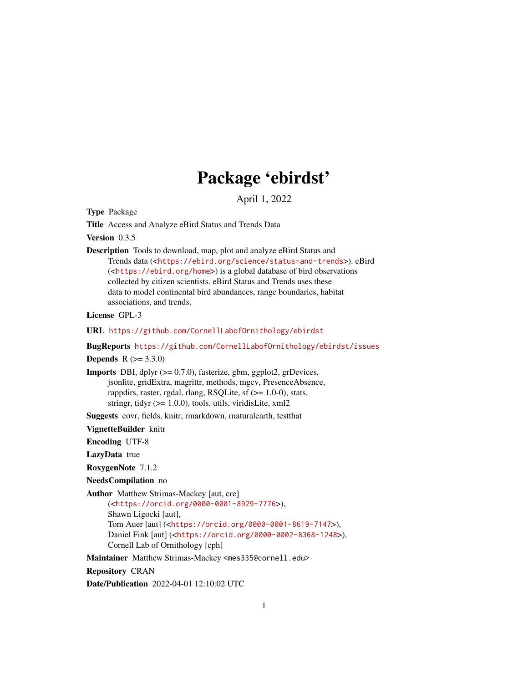# Package 'ebirdst'

April 1, 2022

<span id="page-0-0"></span>Type Package

Title Access and Analyze eBird Status and Trends Data

Version 0.3.5

Description Tools to download, map, plot and analyze eBird Status and Trends data (<<https://ebird.org/science/status-and-trends>>). eBird (<<https://ebird.org/home>>) is a global database of bird observations collected by citizen scientists. eBird Status and Trends uses these data to model continental bird abundances, range boundaries, habitat associations, and trends.

License GPL-3

URL <https://github.com/CornellLabofOrnithology/ebirdst>

BugReports <https://github.com/CornellLabofOrnithology/ebirdst/issues>

**Depends** R  $(>= 3.3.0)$ 

Imports DBI, dplyr (>= 0.7.0), fasterize, gbm, ggplot2, grDevices, jsonlite, gridExtra, magrittr, methods, mgcv, PresenceAbsence, rappdirs, raster, rgdal, rlang, RSQLite, sf  $(>= 1.0-0)$ , stats, stringr, tidyr  $(>= 1.0.0)$ , tools, utils, viridisLite, xml2

Suggests covr, fields, knitr, rmarkdown, rnaturalearth, testthat

VignetteBuilder knitr

Encoding UTF-8

LazyData true

RoxygenNote 7.1.2

NeedsCompilation no

Author Matthew Strimas-Mackey [aut, cre]

(<<https://orcid.org/0000-0001-8929-7776>>), Shawn Ligocki [aut], Tom Auer [aut] (<<https://orcid.org/0000-0001-8619-7147>>), Daniel Fink [aut] (<<https://orcid.org/0000-0002-8368-1248>>), Cornell Lab of Ornithology [cph]

Maintainer Matthew Strimas-Mackey <mes335@cornell.edu>

Repository CRAN

Date/Publication 2022-04-01 12:10:02 UTC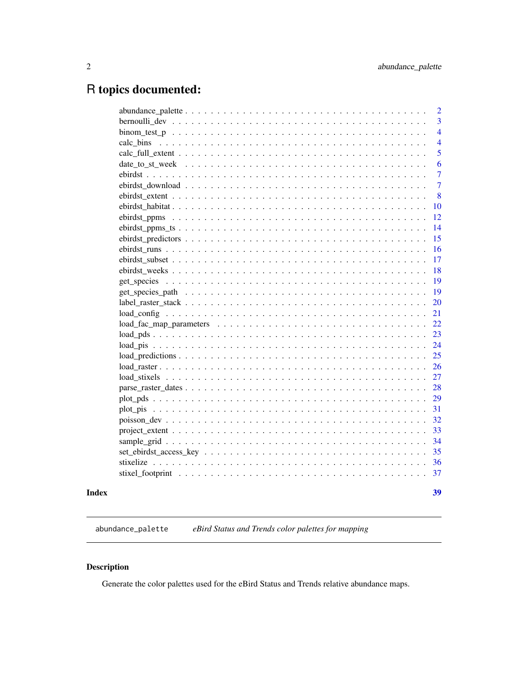# <span id="page-1-0"></span>R topics documented:

|  | 39                  |
|--|---------------------|
|  | 37                  |
|  | 36                  |
|  | 35                  |
|  | 34                  |
|  | 33                  |
|  | 32                  |
|  | 31                  |
|  | 29                  |
|  | 28                  |
|  | 27                  |
|  | 26                  |
|  | 25                  |
|  | 24                  |
|  | 23                  |
|  | 22                  |
|  | 21                  |
|  | 20                  |
|  | 19                  |
|  | 19                  |
|  | 18                  |
|  | 17                  |
|  | 16                  |
|  | 15                  |
|  | 14                  |
|  | 12                  |
|  | 10                  |
|  | 8                   |
|  | 7                   |
|  | $\overline{7}$      |
|  | 6                   |
|  | $\overline{4}$<br>5 |
|  | $\overline{4}$      |
|  | 3                   |
|  | $\overline{2}$      |
|  |                     |

abundance\_palette *eBird Status and Trends color palettes for mapping*

# Description

Generate the color palettes used for the eBird Status and Trends relative abundance maps.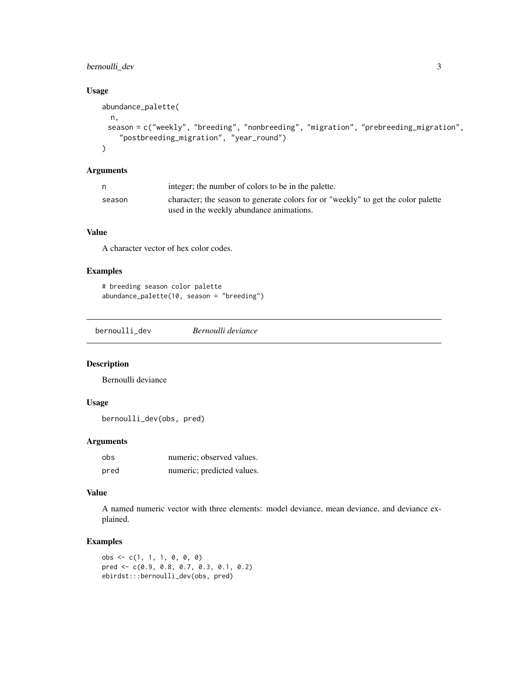# <span id="page-2-0"></span>bernoulli\_dev 3

# Usage

```
abundance_palette(
 n,
 season = c("weekly", "breeding", "nonbreeding", "migration", "prebreeding_migration",
    "postbreeding_migration", "year_round")
\lambda
```
# Arguments

|        | integer; the number of colors to be in the palette.                               |
|--------|-----------------------------------------------------------------------------------|
| season | character; the season to generate colors for or "weekly" to get the color palette |
|        | used in the weekly abundance animations.                                          |

# Value

A character vector of hex color codes.

# Examples

```
# breeding season color palette
abundance_palette(10, season = "breeding")
```
bernoulli\_dev *Bernoulli deviance*

#### Description

Bernoulli deviance

# Usage

```
bernoulli_dev(obs, pred)
```
# Arguments

| obs  | numeric; observed values.  |
|------|----------------------------|
| pred | numeric; predicted values. |

# Value

A named numeric vector with three elements: model deviance, mean deviance, and deviance explained.

```
obs \leq c(1, 1, 1, 0, 0, 0)pred <- c(0.9, 0.8, 0.7, 0.3, 0.1, 0.2)
ebirdst:::bernoulli_dev(obs, pred)
```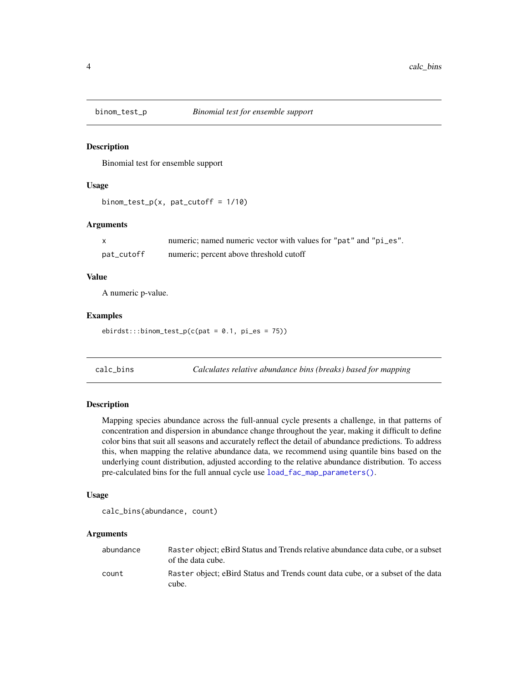<span id="page-3-0"></span>

# Description

Binomial test for ensemble support

# Usage

```
binom_test_p(x, pat_cutoff = 1/10)
```
# Arguments

|            | numeric; named numeric vector with values for "pat" and "pi_es". |  |
|------------|------------------------------------------------------------------|--|
| pat_cutoff | numeric; percent above threshold cutoff                          |  |

# Value

A numeric p-value.

#### Examples

 $ebirdst:::binom_test_p(c(pat = 0.1, pi-es = 75))$ 

calc\_bins *Calculates relative abundance bins (breaks) based for mapping*

# Description

Mapping species abundance across the full-annual cycle presents a challenge, in that patterns of concentration and dispersion in abundance change throughout the year, making it difficult to define color bins that suit all seasons and accurately reflect the detail of abundance predictions. To address this, when mapping the relative abundance data, we recommend using quantile bins based on the underlying count distribution, adjusted according to the relative abundance distribution. To access pre-calculated bins for the full annual cycle use [load\\_fac\\_map\\_parameters\(\)](#page-21-1).

#### Usage

```
calc_bins(abundance, count)
```
# Arguments

| abundance | Raster object: eBird Status and Trends relative abundance data cube, or a subset<br>of the data cube. |
|-----------|-------------------------------------------------------------------------------------------------------|
| count     | Raster object; eBird Status and Trends count data cube, or a subset of the data<br>cube.              |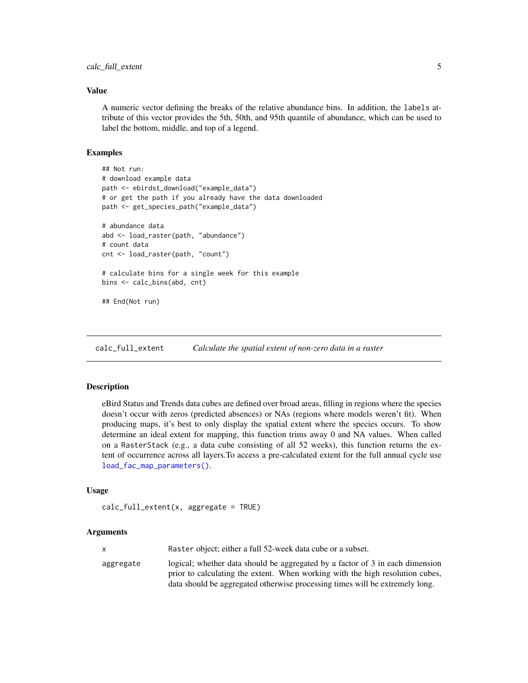# <span id="page-4-0"></span>Value

A numeric vector defining the breaks of the relative abundance bins. In addition, the labels attribute of this vector provides the 5th, 50th, and 95th quantile of abundance, which can be used to label the bottom, middle, and top of a legend.

#### Examples

```
## Not run:
# download example data
path <- ebirdst_download("example_data")
# or get the path if you already have the data downloaded
path <- get_species_path("example_data")
# abundance data
abd <- load_raster(path, "abundance")
# count data
cnt <- load_raster(path, "count")
# calculate bins for a single week for this example
bins <- calc_bins(abd, cnt)
## End(Not run)
```
calc\_full\_extent *Calculate the spatial extent of non-zero data in a raster*

# Description

eBird Status and Trends data cubes are defined over broad areas, filling in regions where the species doesn't occur with zeros (predicted absences) or NAs (regions where models weren't fit). When producing maps, it's best to only display the spatial extent where the species occurs. To show determine an ideal extent for mapping, this function trims away 0 and NA values. When called on a RasterStack (e.g., a data cube consisting of all 52 weeks), this function returns the extent of occurrence across all layers.To access a pre-calculated extent for the full annual cycle use [load\\_fac\\_map\\_parameters\(\)](#page-21-1).

#### Usage

```
calc_full_extent(x, aggregate = TRUE)
```
### Arguments

|           | Raster object; either a full 52-week data cube or a subset.                                                                                                    |
|-----------|----------------------------------------------------------------------------------------------------------------------------------------------------------------|
| aggregate | logical; whether data should be aggregated by a factor of 3 in each dimension<br>prior to calculating the extent. When working with the high resolution cubes, |
|           | data should be aggregated otherwise processing times will be extremely long.                                                                                   |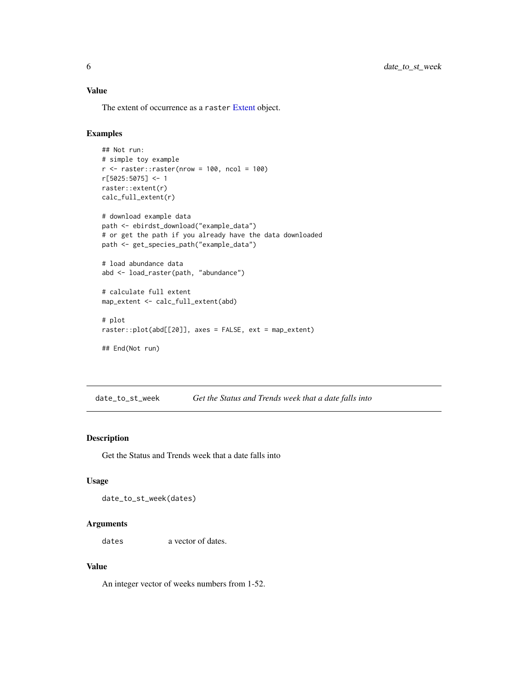# <span id="page-5-0"></span>Value

The extent of occurrence as a raster [Extent](#page-0-0) object.

# Examples

```
## Not run:
# simple toy example
r <- raster::raster(nrow = 100, ncol = 100)
r[5025:5075] <- 1
raster::extent(r)
calc_full_extent(r)
# download example data
path <- ebirdst_download("example_data")
# or get the path if you already have the data downloaded
path <- get_species_path("example_data")
# load abundance data
abd <- load_raster(path, "abundance")
# calculate full extent
map_extent <- calc_full_extent(abd)
# plot
raster::plot(abd[[20]], axes = FALSE, ext = map_extent)
## End(Not run)
```
date\_to\_st\_week *Get the Status and Trends week that a date falls into*

# Description

Get the Status and Trends week that a date falls into

# Usage

date\_to\_st\_week(dates)

#### Arguments

dates a vector of dates.

#### Value

An integer vector of weeks numbers from 1-52.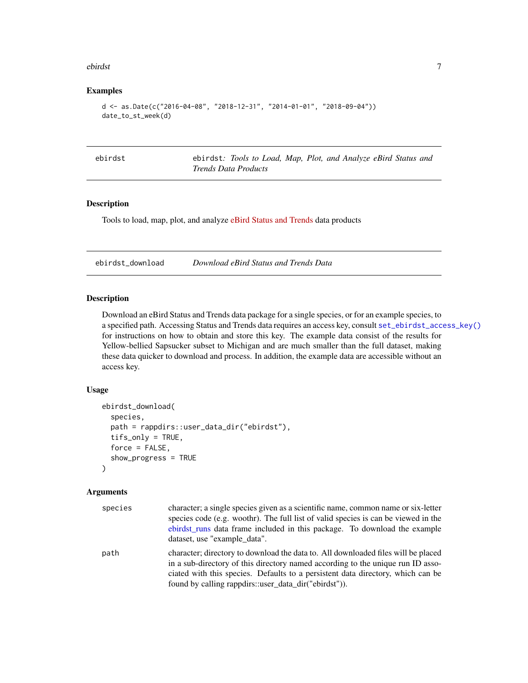#### <span id="page-6-0"></span>ebirdst 7

#### Examples

```
d \leq -as.Date(c("2016-04-08", "2018-12-31", "2014-01-01", "2018-09-04"))
date_to_st_week(d)
```

|  | n r | ╮ |
|--|-----|---|
|  |     |   |

ebirdst ebirdst*: Tools to Load, Map, Plot, and Analyze eBird Status and Trends Data Products*

# Description

Tools to load, map, plot, and analyze [eBird Status and Trends](https://ebird.org/science/status-and-trends) data products

<span id="page-6-1"></span>ebirdst\_download *Download eBird Status and Trends Data*

# Description

Download an eBird Status and Trends data package for a single species, or for an example species, to a specified path. Accessing Status and Trends data requires an access key, consult [set\\_ebirdst\\_access\\_key\(\)](#page-34-1) for instructions on how to obtain and store this key. The example data consist of the results for Yellow-bellied Sapsucker subset to Michigan and are much smaller than the full dataset, making these data quicker to download and process. In addition, the example data are accessible without an access key.

# Usage

```
ebirdst_download(
  species,
  path = rappdirs::user_data_dir("ebirdst"),
  tifs_only = TRUE,
  force = FALSE,
  show_progress = TRUE
)
```
#### Arguments

| species | character; a single species given as a scientific name, common name or six-letter<br>species code (e.g. woothr). The full list of valid species is can be viewed in the<br>ebirdst_runs data frame included in this package. To download the example<br>dataset, use "example data".                             |
|---------|------------------------------------------------------------------------------------------------------------------------------------------------------------------------------------------------------------------------------------------------------------------------------------------------------------------|
| path    | character; directory to download the data to. All downloaded files will be placed<br>in a sub-directory of this directory named according to the unique run ID asso-<br>ciated with this species. Defaults to a persistent data directory, which can be<br>found by calling rappdirs::user_data_dir("ebirdst")). |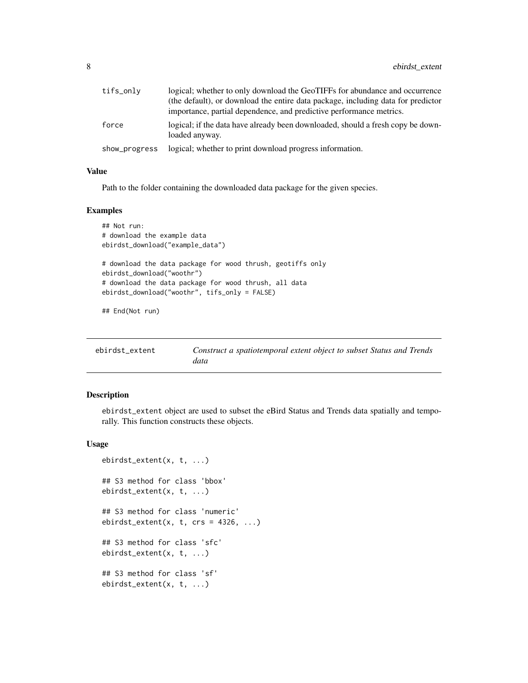<span id="page-7-0"></span>

| tifs_only     | logical; whether to only download the GeoTIFFs for abundance and occurrence                       |
|---------------|---------------------------------------------------------------------------------------------------|
|               | (the default), or download the entire data package, including data for predictor                  |
|               | importance, partial dependence, and predictive performance metrics.                               |
| force         | logical; if the data have already been downloaded, should a fresh copy be down-<br>loaded anyway. |
| show_progress | logical; whether to print download progress information.                                          |

# Value

Path to the folder containing the downloaded data package for the given species.

#### Examples

```
## Not run:
# download the example data
ebirdst_download("example_data")
# download the data package for wood thrush, geotiffs only
ebirdst_download("woothr")
# download the data package for wood thrush, all data
ebirdst_download("woothr", tifs_only = FALSE)
```
## End(Not run)

<span id="page-7-1"></span>

| ebirdst extent | Construct a spatiotemporal extent object to subset Status and Trends |
|----------------|----------------------------------------------------------------------|
|                | data                                                                 |

# Description

ebirdst\_extent object are used to subset the eBird Status and Trends data spatially and temporally. This function constructs these objects.

#### Usage

```
ebirdst_extent(x, t, ...)
## S3 method for class 'bbox'
ebirdst_extent(x, t, ...)
## S3 method for class 'numeric'
ebirdst\_extent(x, t, crs = 4326, ...)## S3 method for class 'sfc'
ebirdst_extent(x, t, ...)
## S3 method for class 'sf'
ebirdst_extent(x, t, ...)
```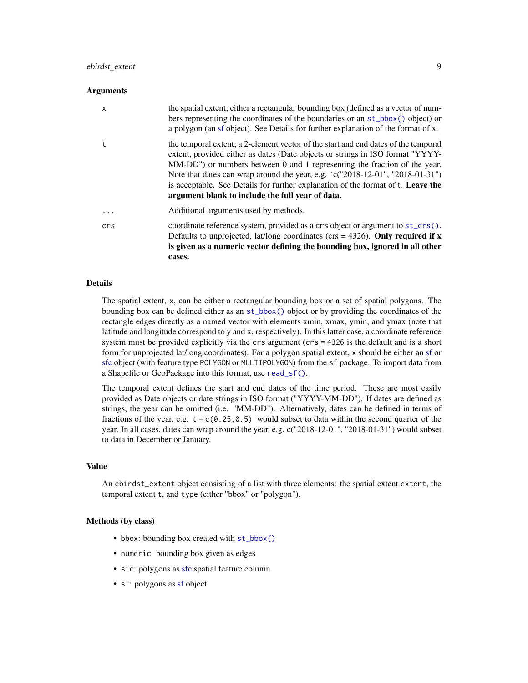# <span id="page-8-0"></span>ebirdst\_extent 9

#### **Arguments**

| x        | the spatial extent; either a rectangular bounding box (defined as a vector of num-<br>bers representing the coordinates of the boundaries or an st_bbox() object) or<br>a polygon (an sf object). See Details for further explanation of the format of x.                                                                                                                                                                                                                  |
|----------|----------------------------------------------------------------------------------------------------------------------------------------------------------------------------------------------------------------------------------------------------------------------------------------------------------------------------------------------------------------------------------------------------------------------------------------------------------------------------|
| t.       | the temporal extent; a 2-element vector of the start and end dates of the temporal<br>extent, provided either as dates (Date objects or strings in ISO format "YYYY-<br>MM-DD") or numbers between 0 and 1 representing the fraction of the year.<br>Note that dates can wrap around the year, e.g. 'c("2018-12-01", "2018-01-31")<br>is acceptable. See Details for further explanation of the format of t. Leave the<br>argument blank to include the full year of data. |
| $\cdots$ | Additional arguments used by methods.                                                                                                                                                                                                                                                                                                                                                                                                                                      |
| crs      | coordinate reference system, provided as a crs object or argument to st_crs().<br>Defaults to unprojected, lat/long coordinates ( $\text{crs} = 4326$ ). Only required if x<br>is given as a numeric vector defining the bounding box, ignored in all other<br>cases.                                                                                                                                                                                                      |

#### Details

The spatial extent, x, can be either a rectangular bounding box or a set of spatial polygons. The bounding box can be defined either as an [st\\_bbox\(\)](#page-0-0) object or by providing the coordinates of the rectangle edges directly as a named vector with elements xmin, xmax, ymin, and ymax (note that latitude and longitude correspond to y and x, respectively). In this latter case, a coordinate reference system must be provided explicitly via the crs argument (crs = 4326 is the default and is a short form for unprojected lat/long coordinates). For a polygon spatial extent, x should be either an [sf](#page-0-0) or [sfc](#page-0-0) object (with feature type POLYGON or MULTIPOLYGON) from the sf package. To import data from a Shapefile or GeoPackage into this format, use [read\\_sf\(\)](#page-0-0).

The temporal extent defines the start and end dates of the time period. These are most easily provided as Date objects or date strings in ISO format ("YYYY-MM-DD"). If dates are defined as strings, the year can be omitted (i.e. "MM-DD"). Alternatively, dates can be defined in terms of fractions of the year, e.g.  $t = c(0.25, 0.5)$  would subset to data within the second quarter of the year. In all cases, dates can wrap around the year, e.g. c("2018-12-01", "2018-01-31") would subset to data in December or January.

#### Value

An ebirdst\_extent object consisting of a list with three elements: the spatial extent extent, the temporal extent t, and type (either "bbox" or "polygon").

#### Methods (by class)

- bbox: bounding box created with  $st_bbox()$
- numeric: bounding box given as edges
- [sfc](#page-0-0): polygons as sfc spatial feature column
- sf: polygons as [sf](#page-0-0) object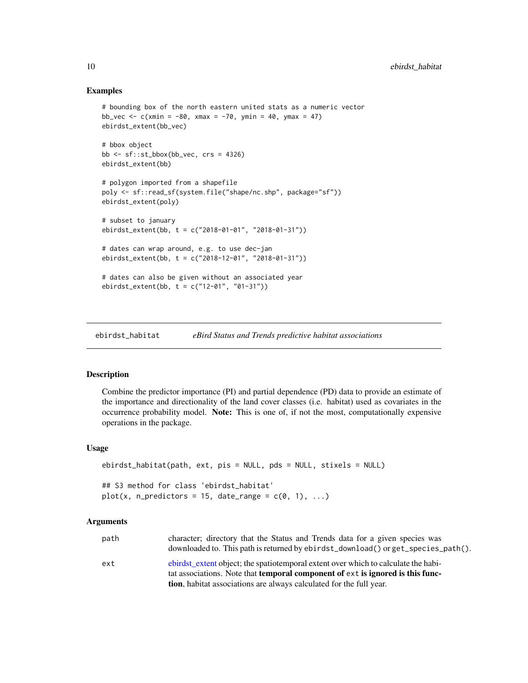#### Examples

```
# bounding box of the north eastern united stats as a numeric vector
bb_vec <- c(xmin = -80, xmax = -70, ymin = 40, ymax = 47)
ebirdst_extent(bb_vec)
# bbox object
bb \le sf::st_bbox(bb_vec, crs = 4326)
ebirdst_extent(bb)
# polygon imported from a shapefile
poly <- sf::read_sf(system.file("shape/nc.shp", package="sf"))
ebirdst_extent(poly)
# subset to january
ebirdst_extent(bb, t = c("2018-01-01", "2018-01-31"))
# dates can wrap around, e.g. to use dec-jan
ebirdst_extent(bb, t = c("2018-12-01", "2018-01-31"))
# dates can also be given without an associated year
ebirdst_extent(bb, t = c("12-01", "01-31"))
```
<span id="page-9-1"></span>ebirdst\_habitat *eBird Status and Trends predictive habitat associations*

#### Description

Combine the predictor importance (PI) and partial dependence (PD) data to provide an estimate of the importance and directionality of the land cover classes (i.e. habitat) used as covariates in the occurrence probability model. Note: This is one of, if not the most, computationally expensive operations in the package.

#### Usage

```
ebirdst_habitat(path, ext, pis = NULL, pds = NULL, stixels = NULL)
## S3 method for class 'ebirdst_habitat'
plot(x, n_{predactors} = 15, date_range = c(0, 1), ...)
```
#### Arguments

| path | character; directory that the Status and Trends data for a given species was                 |
|------|----------------------------------------------------------------------------------------------|
|      | downloaded to. This path is returned by ebirdst_download() or get_species_path().            |
| ext  | ebirdst extent object; the spatioley extent over which to calculate the habi-                |
|      | tat associations. Note that <b>temporal component of</b> ext is <b>ignored</b> is this func- |
|      | tion, habitat associations are always calculated for the full year.                          |

<span id="page-9-0"></span>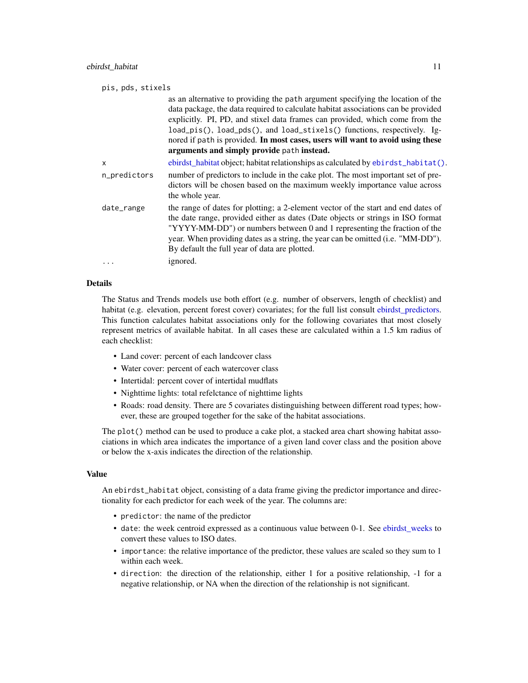<span id="page-10-0"></span>

| pis, pds, stixels |                                                                                                                                                                                                                                                                                                                                                                                                                                                                 |
|-------------------|-----------------------------------------------------------------------------------------------------------------------------------------------------------------------------------------------------------------------------------------------------------------------------------------------------------------------------------------------------------------------------------------------------------------------------------------------------------------|
|                   | as an alternative to providing the path argument specifying the location of the<br>data package, the data required to calculate habitat associations can be provided<br>explicitly. PI, PD, and stixel data frames can provided, which come from the<br>load_pis(), load_pds(), and load_stixels() functions, respectively. Ig-<br>nored if path is provided. In most cases, users will want to avoid using these<br>arguments and simply provide path instead. |
| X                 | ebirdst_habitat object; habitat relationships as calculated by ebirdst_habitat().                                                                                                                                                                                                                                                                                                                                                                               |
| n_predictors      | number of predictors to include in the cake plot. The most important set of pre-<br>dictors will be chosen based on the maximum weekly importance value across<br>the whole year.                                                                                                                                                                                                                                                                               |
| date_range        | the range of dates for plotting; a 2-element vector of the start and end dates of<br>the date range, provided either as dates (Date objects or strings in ISO format<br>"YYYY-MM-DD") or numbers between 0 and 1 representing the fraction of the<br>year. When providing dates as a string, the year can be omitted (i.e. "MM-DD").<br>By default the full year of data are plotted.                                                                           |
| .                 | ignored.                                                                                                                                                                                                                                                                                                                                                                                                                                                        |

#### Details

The Status and Trends models use both effort (e.g. number of observers, length of checklist) and habitat (e.g. elevation, percent forest cover) covariates; for the full list consult [ebirdst\\_predictors.](#page-14-1) This function calculates habitat associations only for the following covariates that most closely represent metrics of available habitat. In all cases these are calculated within a 1.5 km radius of each checklist:

- Land cover: percent of each landcover class
- Water cover: percent of each watercover class
- Intertidal: percent cover of intertidal mudflats
- Nighttime lights: total refelctance of nighttime lights
- Roads: road density. There are 5 covariates distinguishing between different road types; however, these are grouped together for the sake of the habitat associations.

The plot() method can be used to produce a cake plot, a stacked area chart showing habitat associations in which area indicates the importance of a given land cover class and the position above or below the x-axis indicates the direction of the relationship.

# Value

An ebirdst\_habitat object, consisting of a data frame giving the predictor importance and directionality for each predictor for each week of the year. The columns are:

- predictor: the name of the predictor
- date: the week centroid expressed as a continuous value between 0-1. See ebirdst weeks to convert these values to ISO dates.
- importance: the relative importance of the predictor, these values are scaled so they sum to 1 within each week.
- direction: the direction of the relationship, either 1 for a positive relationship, -1 for a negative relationship, or NA when the direction of the relationship is not significant.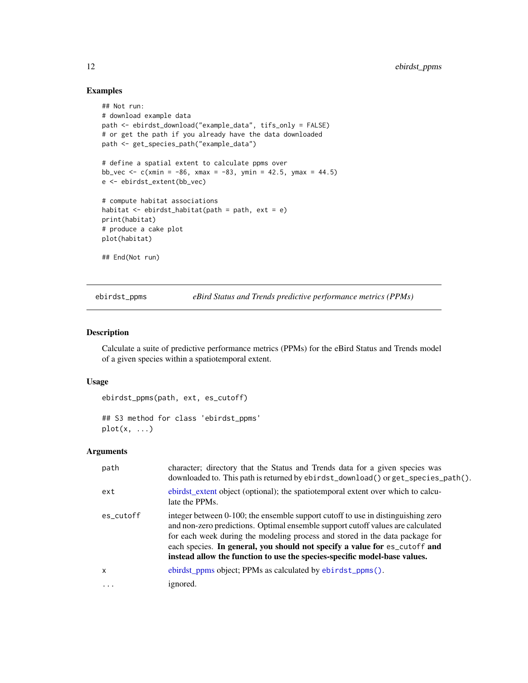# Examples

```
## Not run:
# download example data
path <- ebirdst_download("example_data", tifs_only = FALSE)
# or get the path if you already have the data downloaded
path <- get_species_path("example_data")
# define a spatial extent to calculate ppms over
bb_vec <- c(xmin = -86, xmax = -83, ymin = 42.5, ymax = 44.5)
e <- ebirdst_extent(bb_vec)
# compute habitat associations
habitat <- ebirdst_habitat(path = path, ext = e)
print(habitat)
# produce a cake plot
plot(habitat)
## End(Not run)
```
<span id="page-11-1"></span>

ebirdst\_ppms *eBird Status and Trends predictive performance metrics (PPMs)*

# Description

Calculate a suite of predictive performance metrics (PPMs) for the eBird Status and Trends model of a given species within a spatiotemporal extent.

#### Usage

```
ebirdst_ppms(path, ext, es_cutoff)
## S3 method for class 'ebirdst_ppms'
```
 $plot(x, \ldots)$ 

# Arguments

| path      | character; directory that the Status and Trends data for a given species was<br>downloaded to. This path is returned by ebirdst_download() or get_species_path().                                                                                                                                                                                                                                              |
|-----------|----------------------------------------------------------------------------------------------------------------------------------------------------------------------------------------------------------------------------------------------------------------------------------------------------------------------------------------------------------------------------------------------------------------|
| ext       | ebirdst extent object (optional); the spatiolet extent over which to calcu-<br>late the PPMs.                                                                                                                                                                                                                                                                                                                  |
| es cutoff | integer between 0-100; the ensemble support cutoff to use in distinguishing zero<br>and non-zero predictions. Optimal ensemble support cutoff values are calculated<br>for each week during the modeling process and stored in the data package for<br>each species. In general, you should not specify a value for es_cutoff and<br>instead allow the function to use the species-specific model-base values. |
| x         | ebirdst_ppms object; PPMs as calculated by ebirdst_ppms().                                                                                                                                                                                                                                                                                                                                                     |
| $\cdot$   | ignored.                                                                                                                                                                                                                                                                                                                                                                                                       |

<span id="page-11-0"></span>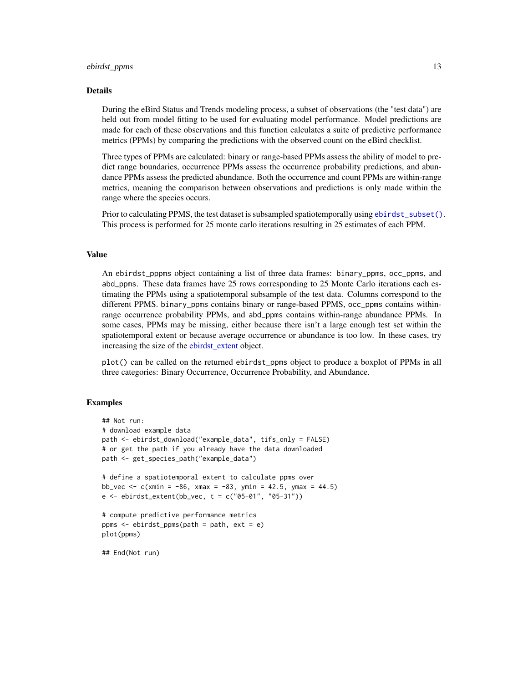#### <span id="page-12-0"></span>ebirdst\_ppms 13

#### Details

During the eBird Status and Trends modeling process, a subset of observations (the "test data") are held out from model fitting to be used for evaluating model performance. Model predictions are made for each of these observations and this function calculates a suite of predictive performance metrics (PPMs) by comparing the predictions with the observed count on the eBird checklist.

Three types of PPMs are calculated: binary or range-based PPMs assess the ability of model to predict range boundaries, occurrence PPMs assess the occurrence probability predictions, and abundance PPMs assess the predicted abundance. Both the occurrence and count PPMs are within-range metrics, meaning the comparison between observations and predictions is only made within the range where the species occurs.

Prior to calculating PPMS, the test dataset is subsampled spatiotemporally using [ebirdst\\_subset\(\)](#page-16-1). This process is performed for 25 monte carlo iterations resulting in 25 estimates of each PPM.

#### Value

An ebirdst\_pppms object containing a list of three data frames: binary\_ppms, occ\_ppms, and abd\_ppms. These data frames have 25 rows corresponding to 25 Monte Carlo iterations each estimating the PPMs using a spatiotemporal subsample of the test data. Columns correspond to the different PPMS. binary\_ppms contains binary or range-based PPMS, occ\_ppms contains withinrange occurrence probability PPMs, and abd\_ppms contains within-range abundance PPMs. In some cases, PPMs may be missing, either because there isn't a large enough test set within the spatiotemporal extent or because average occurrence or abundance is too low. In these cases, try increasing the size of the [ebirdst\\_extent](#page-7-1) object.

plot() can be called on the returned ebirdst\_ppms object to produce a boxplot of PPMs in all three categories: Binary Occurrence, Occurrence Probability, and Abundance.

```
## Not run:
# download example data
path <- ebirdst_download("example_data", tifs_only = FALSE)
# or get the path if you already have the data downloaded
path <- get_species_path("example_data")
# define a spatiotemporal extent to calculate ppms over
bb_vec <- c(xmin = -86, xmax = -83, ymin = 42.5, ymax = 44.5)
e \le - ebirdst_extent(bb_vec, t = c("05-01", "05-31"))# compute predictive performance metrics
ppms <- ebirdst_ppms(path = path, ext = e)
plot(ppms)
## End(Not run)
```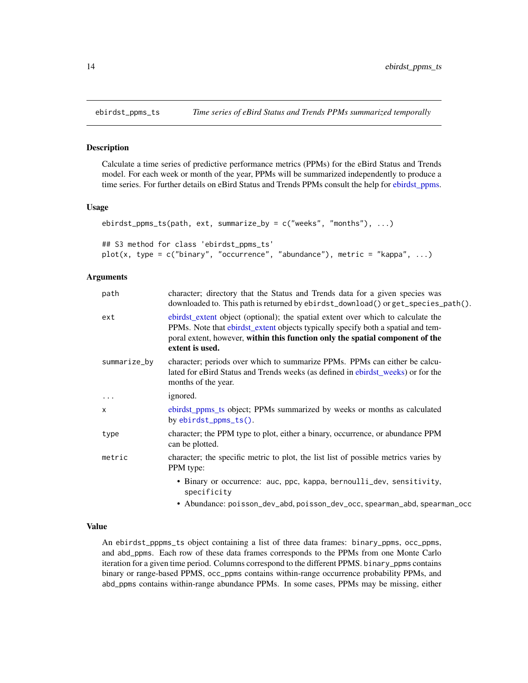<span id="page-13-1"></span><span id="page-13-0"></span>

#### Description

Calculate a time series of predictive performance metrics (PPMs) for the eBird Status and Trends model. For each week or month of the year, PPMs will be summarized independently to produce a time series. For further details on eBird Status and Trends PPMs consult the help for [ebirdst\\_ppms.](#page-11-1)

#### Usage

```
ebirdst_ppms_ts(path, ext, summarize_by = c("weeks", "months"), ...)
## S3 method for class 'ebirdst_ppms_ts'
plot(x, type = c("binary", "occurrence", "abundance"), metric = "kappa", ...)
```
#### Arguments

| path         | character; directory that the Status and Trends data for a given species was<br>downloaded to. This path is returned by ebirdst_download() or get_species_path().                                                                                                        |
|--------------|--------------------------------------------------------------------------------------------------------------------------------------------------------------------------------------------------------------------------------------------------------------------------|
| ext          | ebirdst_extent object (optional); the spatial extent over which to calculate the<br>PPMs. Note that ebirdst_extent objects typically specify both a spatial and tem-<br>poral extent, however, within this function only the spatial component of the<br>extent is used. |
| summarize_by | character; periods over which to summarize PPMs. PPMs can either be calcu-<br>lated for eBird Status and Trends weeks (as defined in ebirdst_weeks) or for the<br>months of the year.                                                                                    |
| $\cdots$     | ignored.                                                                                                                                                                                                                                                                 |
| $\mathsf{x}$ | ebirdst_ppms_ts object; PPMs summarized by weeks or months as calculated<br>by ebirdst_ppms_ts().                                                                                                                                                                        |
| type         | character; the PPM type to plot, either a binary, occurrence, or abundance PPM<br>can be plotted.                                                                                                                                                                        |
| metric       | character; the specific metric to plot, the list list of possible metrics varies by<br>PPM type:                                                                                                                                                                         |
|              | • Binary or occurrence: auc, ppc, kappa, bernoulli_dev, sensitivity,<br>specificity                                                                                                                                                                                      |
|              | • Abundance: poisson_dev_abd, poisson_dev_occ, spearman_abd, spearman_occ                                                                                                                                                                                                |

# Value

An ebirdst\_pppms\_ts object containing a list of three data frames: binary\_ppms, occ\_ppms, and abd\_ppms. Each row of these data frames corresponds to the PPMs from one Monte Carlo iteration for a given time period. Columns correspond to the different PPMS. binary\_ppms contains binary or range-based PPMS, occ\_ppms contains within-range occurrence probability PPMs, and abd\_ppms contains within-range abundance PPMs. In some cases, PPMs may be missing, either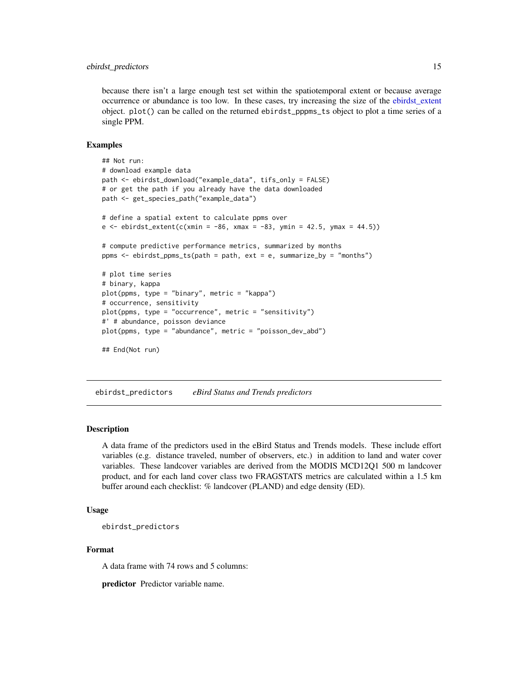#### <span id="page-14-0"></span>ebirdst\_predictors 15

because there isn't a large enough test set within the spatiotemporal extent or because average occurrence or abundance is too low. In these cases, try increasing the size of the [ebirdst\\_extent](#page-7-1) object. plot() can be called on the returned ebirdst\_pppms\_ts object to plot a time series of a single PPM.

#### Examples

```
## Not run:
# download example data
path <- ebirdst_download("example_data", tifs_only = FALSE)
# or get the path if you already have the data downloaded
path <- get_species_path("example_data")
# define a spatial extent to calculate ppms over
e <- ebirdst\_extent(c(xmin = -86, xmax = -83, ymin = 42.5, ymax = 44.5))# compute predictive performance metrics, summarized by months
ppms <- ebirdst_ppms_ts(path = path, ext = e, summarize_by = "months")
# plot time series
# binary, kappa
plot(ppms, type = "binary", metric = "kappa")
# occurrence, sensitivity
plot(ppms, type = "occurrence", metric = "sensitivity")
#' # abundance, poisson deviance
plot(ppms, type = "abundance", metric = "poisson_dev_abd")
## End(Not run)
```
<span id="page-14-1"></span>ebirdst\_predictors *eBird Status and Trends predictors*

#### Description

A data frame of the predictors used in the eBird Status and Trends models. These include effort variables (e.g. distance traveled, number of observers, etc.) in addition to land and water cover variables. These landcover variables are derived from the MODIS MCD12Q1 500 m landcover product, and for each land cover class two FRAGSTATS metrics are calculated within a 1.5 km buffer around each checklist: % landcover (PLAND) and edge density (ED).

### Usage

```
ebirdst_predictors
```
#### Format

A data frame with 74 rows and 5 columns:

predictor Predictor variable name.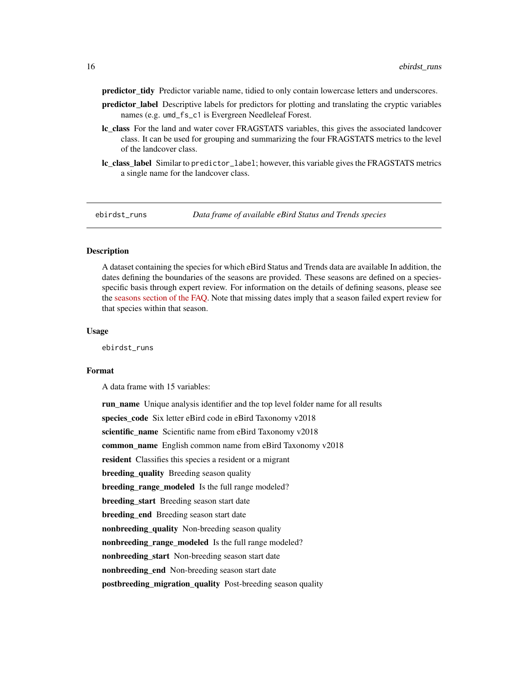<span id="page-15-0"></span>predictor\_tidy Predictor variable name, tidied to only contain lowercase letters and underscores.

- predictor\_label Descriptive labels for predictors for plotting and translating the cryptic variables names (e.g. umd\_fs\_c1 is Evergreen Needleleaf Forest.
- lc\_class For the land and water cover FRAGSTATS variables, this gives the associated landcover class. It can be used for grouping and summarizing the four FRAGSTATS metrics to the level of the landcover class.
- lc\_class\_label\_Similar to predictor\_label; however, this variable gives the FRAGSTATS metrics a single name for the landcover class.

<span id="page-15-1"></span>

ebirdst\_runs *Data frame of available eBird Status and Trends species*

# **Description**

A dataset containing the species for which eBird Status and Trends data are available In addition, the dates defining the boundaries of the seasons are provided. These seasons are defined on a speciesspecific basis through expert review. For information on the details of defining seasons, please see the [seasons section of the FAQ.](https://ebird.org/science/status-and-trends/faq#seasons) Note that missing dates imply that a season failed expert review for that species within that season.

#### Usage

ebirdst\_runs

# Format

A data frame with 15 variables:

run name Unique analysis identifier and the top level folder name for all results species\_code Six letter eBird code in eBird Taxonomy v2018 scientific\_name Scientific name from eBird Taxonomy v2018 common\_name English common name from eBird Taxonomy v2018 resident Classifies this species a resident or a migrant **breeding\_quality** Breeding season quality breeding\_range\_modeled Is the full range modeled? breeding\_start Breeding season start date breeding end Breeding season start date nonbreeding\_quality Non-breeding season quality nonbreeding range modeled Is the full range modeled? nonbreeding start Non-breeding season start date nonbreeding\_end Non-breeding season start date postbreeding\_migration\_quality Post-breeding season quality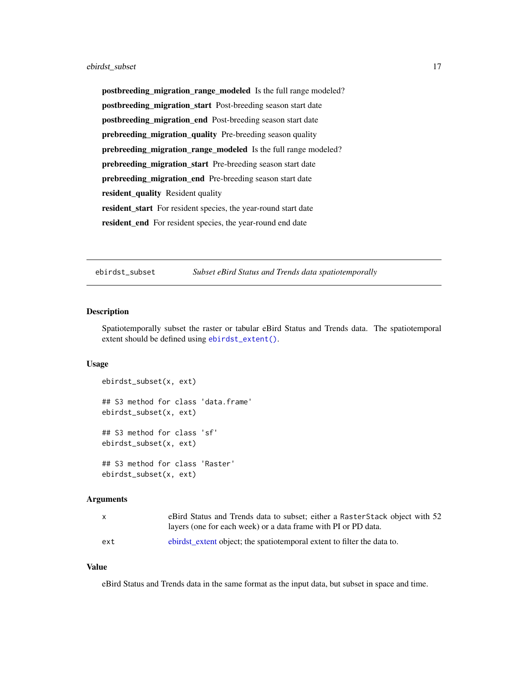<span id="page-16-0"></span>postbreeding\_migration\_range\_modeled Is the full range modeled? postbreeding\_migration\_start Post-breeding season start date postbreeding\_migration\_end Post-breeding season start date prebreeding\_migration\_quality Pre-breeding season quality prebreeding\_migration\_range\_modeled Is the full range modeled? prebreeding\_migration\_start Pre-breeding season start date prebreeding\_migration\_end Pre-breeding season start date resident\_quality Resident quality resident\_start For resident species, the year-round start date resident\_end For resident species, the year-round end date

<span id="page-16-1"></span>ebirdst\_subset *Subset eBird Status and Trends data spatiotemporally*

#### Description

Spatiotemporally subset the raster or tabular eBird Status and Trends data. The spatiotemporal extent should be defined using [ebirdst\\_extent\(\)](#page-7-1).

#### Usage

```
ebirdst_subset(x, ext)
## S3 method for class 'data.frame'
ebirdst_subset(x, ext)
## S3 method for class 'sf'
ebirdst_subset(x, ext)
## S3 method for class 'Raster'
ebirdst_subset(x, ext)
```
### **Arguments**

| X   | eBird Status and Trends data to subset; either a RasterStack object with 52 |
|-----|-----------------------------------------------------------------------------|
|     | layers (one for each week) or a data frame with PI or PD data.              |
| ext | ebirdst_extent object; the spatiotemporal extent to filter the data to.     |

#### Value

eBird Status and Trends data in the same format as the input data, but subset in space and time.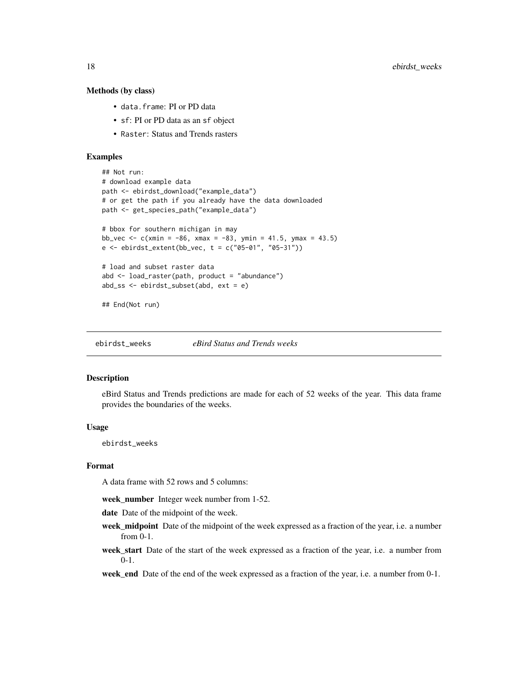#### Methods (by class)

- data.frame: PI or PD data
- sf: PI or PD data as an sf object
- Raster: Status and Trends rasters

#### Examples

```
## Not run:
# download example data
path <- ebirdst_download("example_data")
# or get the path if you already have the data downloaded
path <- get_species_path("example_data")
# bbox for southern michigan in may
bb_vec <- c(xmin = -86, xmax = -83, ymin = 41.5, ymax = 43.5)
e \le - ebirdst_extent(bb_vec, t = c("05-01", "05-31"))
# load and subset raster data
abd <- load_raster(path, product = "abundance")
abd_ss <- ebirdst_subset(abd, ext = e)
## End(Not run)
```
<span id="page-17-1"></span>ebirdst\_weeks *eBird Status and Trends weeks*

#### Description

eBird Status and Trends predictions are made for each of 52 weeks of the year. This data frame provides the boundaries of the weeks.

#### Usage

ebirdst\_weeks

#### Format

A data frame with 52 rows and 5 columns:

week\_number Integer week number from 1-52.

date Date of the midpoint of the week.

- week\_midpoint Date of the midpoint of the week expressed as a fraction of the year, i.e. a number from 0-1.
- week\_start Date of the start of the week expressed as a fraction of the year, i.e. a number from 0-1.
- week\_end Date of the end of the week expressed as a fraction of the year, i.e. a number from 0-1.

<span id="page-17-0"></span>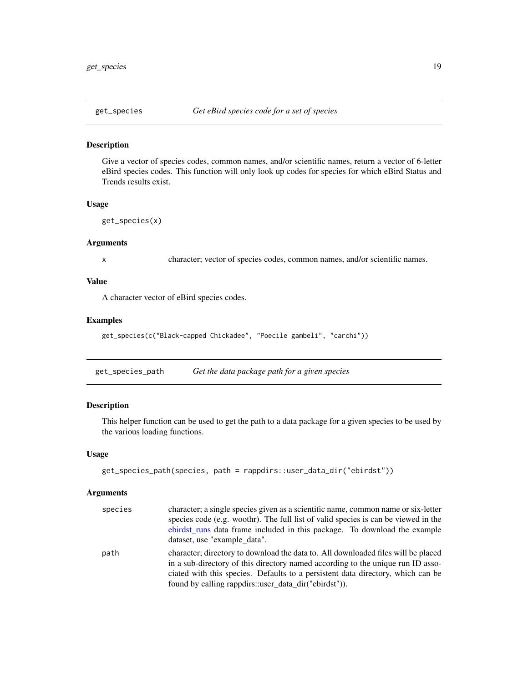<span id="page-18-0"></span>

#### Description

Give a vector of species codes, common names, and/or scientific names, return a vector of 6-letter eBird species codes. This function will only look up codes for species for which eBird Status and Trends results exist.

#### Usage

```
get_species(x)
```
#### Arguments

x character; vector of species codes, common names, and/or scientific names.

# Value

A character vector of eBird species codes.

#### Examples

```
get_species(c("Black-capped Chickadee", "Poecile gambeli", "carchi"))
```
get\_species\_path *Get the data package path for a given species*

# Description

This helper function can be used to get the path to a data package for a given species to be used by the various loading functions.

# Usage

```
get_species_path(species, path = rappdirs::user_data_dir("ebirdst"))
```
#### Arguments

| species | character; a single species given as a scientific name, common name or six-letter<br>species code (e.g. woothr). The full list of valid species is can be viewed in the<br>ebirdst_runs data frame included in this package. To download the example<br>dataset, use "example data".                             |
|---------|------------------------------------------------------------------------------------------------------------------------------------------------------------------------------------------------------------------------------------------------------------------------------------------------------------------|
| path    | character; directory to download the data to. All downloaded files will be placed<br>in a sub-directory of this directory named according to the unique run ID asso-<br>ciated with this species. Defaults to a persistent data directory, which can be<br>found by calling rappdirs: user_data_dir("ebirdst")). |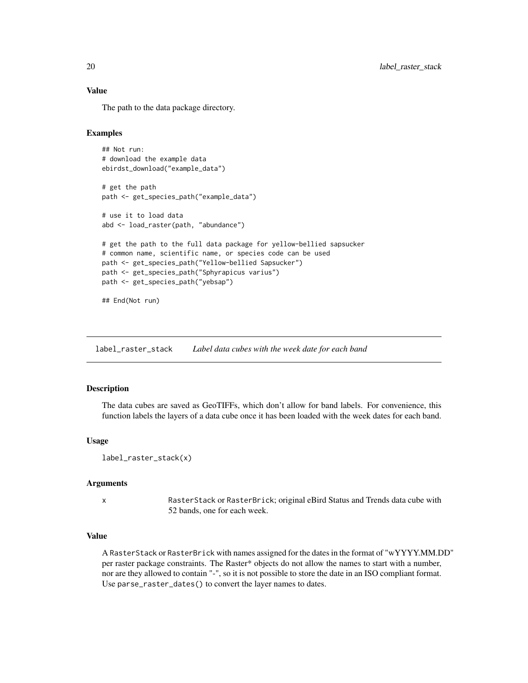# <span id="page-19-0"></span>Value

The path to the data package directory.

# Examples

```
## Not run:
# download the example data
ebirdst_download("example_data")
# get the path
path <- get_species_path("example_data")
# use it to load data
abd <- load_raster(path, "abundance")
# get the path to the full data package for yellow-bellied sapsucker
# common name, scientific name, or species code can be used
path <- get_species_path("Yellow-bellied Sapsucker")
path <- get_species_path("Sphyrapicus varius")
path <- get_species_path("yebsap")
## End(Not run)
```
<span id="page-19-1"></span>label\_raster\_stack *Label data cubes with the week date for each band*

# **Description**

The data cubes are saved as GeoTIFFs, which don't allow for band labels. For convenience, this function labels the layers of a data cube once it has been loaded with the week dates for each band.

#### Usage

```
label_raster_stack(x)
```
#### Arguments

x RasterStack or RasterBrick; original eBird Status and Trends data cube with 52 bands, one for each week.

# Value

A RasterStack or RasterBrick with names assigned for the dates in the format of "wYYYY.MM.DD" per raster package constraints. The Raster\* objects do not allow the names to start with a number, nor are they allowed to contain "-", so it is not possible to store the date in an ISO compliant format. Use parse\_raster\_dates() to convert the layer names to dates.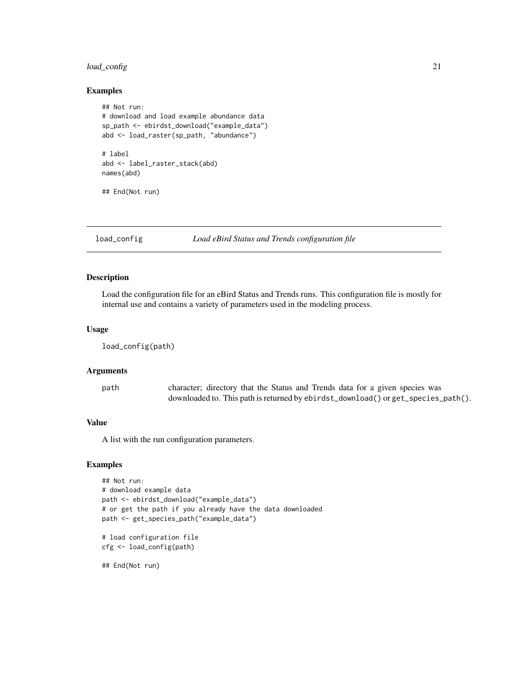# <span id="page-20-0"></span>load\_config 21

#### Examples

```
## Not run:
# download and load example abundance data
sp_path <- ebirdst_download("example_data")
abd <- load_raster(sp_path, "abundance")
# label
abd <- label_raster_stack(abd)
names(abd)
## End(Not run)
```
load\_config *Load eBird Status and Trends configuration file*

#### Description

Load the configuration file for an eBird Status and Trends runs. This configuration file is mostly for internal use and contains a variety of parameters used in the modeling process.

#### Usage

```
load_config(path)
```
#### Arguments

path character; directory that the Status and Trends data for a given species was downloaded to. This path is returned by ebirdst\_download() or get\_species\_path().

# Value

A list with the run configuration parameters.

#### Examples

```
## Not run:
# download example data
path <- ebirdst_download("example_data")
# or get the path if you already have the data downloaded
path <- get_species_path("example_data")
```

```
# load configuration file
cfg <- load_config(path)
```
## End(Not run)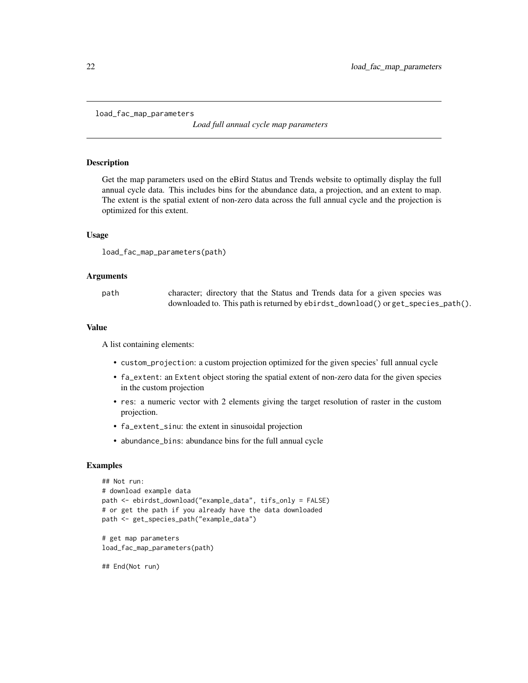```
load_fac_map_parameters
```
*Load full annual cycle map parameters*

#### Description

Get the map parameters used on the eBird Status and Trends website to optimally display the full annual cycle data. This includes bins for the abundance data, a projection, and an extent to map. The extent is the spatial extent of non-zero data across the full annual cycle and the projection is optimized for this extent.

#### Usage

```
load_fac_map_parameters(path)
```
#### Arguments

path character; directory that the Status and Trends data for a given species was downloaded to. This path is returned by ebirdst\_download() or get\_species\_path().

#### Value

A list containing elements:

- custom\_projection: a custom projection optimized for the given species' full annual cycle
- fa\_extent: an Extent object storing the spatial extent of non-zero data for the given species in the custom projection
- res: a numeric vector with 2 elements giving the target resolution of raster in the custom projection.
- fa\_extent\_sinu: the extent in sinusoidal projection
- abundance\_bins: abundance bins for the full annual cycle

# Examples

```
## Not run:
# download example data
path <- ebirdst_download("example_data", tifs_only = FALSE)
# or get the path if you already have the data downloaded
path <- get_species_path("example_data")
# get map parameters
```
load\_fac\_map\_parameters(path)

## End(Not run)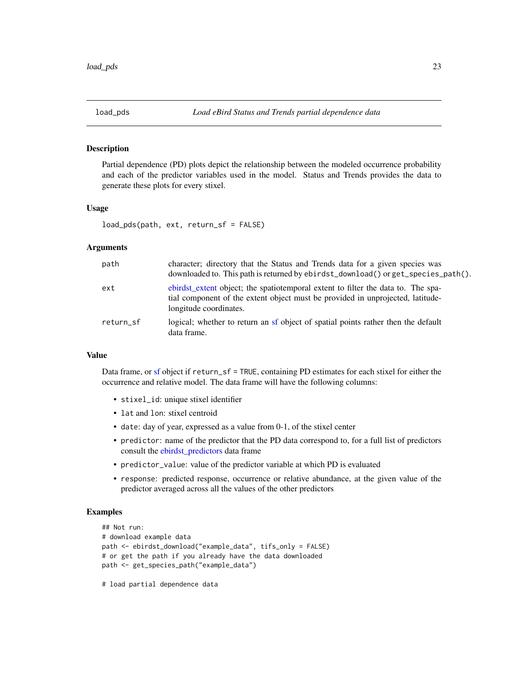<span id="page-22-1"></span><span id="page-22-0"></span>

#### Description

Partial dependence (PD) plots depict the relationship between the modeled occurrence probability and each of the predictor variables used in the model. Status and Trends provides the data to generate these plots for every stixel.

# Usage

```
load_pds(path, ext, return_sf = FALSE)
```
#### Arguments

| path      | character; directory that the Status and Trends data for a given species was<br>downloaded to. This path is returned by ebirdst_download() or get_species_path().                            |
|-----------|----------------------------------------------------------------------------------------------------------------------------------------------------------------------------------------------|
| ext       | ebirdst_extent object; the spatiotemporal extent to filter the data to. The spa-<br>tial component of the extent object must be provided in unprojected, latitude-<br>longitude coordinates. |
| return sf | logical; whether to return an sf object of spatial points rather then the default<br>data frame.                                                                                             |

#### Value

Data frame, or [sf](#page-0-0) object if return\_sf = TRUE, containing PD estimates for each stixel for either the occurrence and relative model. The data frame will have the following columns:

- stixel\_id: unique stixel identifier
- lat and lon: stixel centroid
- date: day of year, expressed as a value from 0-1, of the stixel center
- predictor: name of the predictor that the PD data correspond to, for a full list of predictors consult the [ebirdst\\_predictors](#page-14-1) data frame
- predictor\_value: value of the predictor variable at which PD is evaluated
- response: predicted response, occurrence or relative abundance, at the given value of the predictor averaged across all the values of the other predictors

# Examples

```
## Not run:
# download example data
path <- ebirdst_download("example_data", tifs_only = FALSE)
# or get the path if you already have the data downloaded
path <- get_species_path("example_data")
```
# load partial dependence data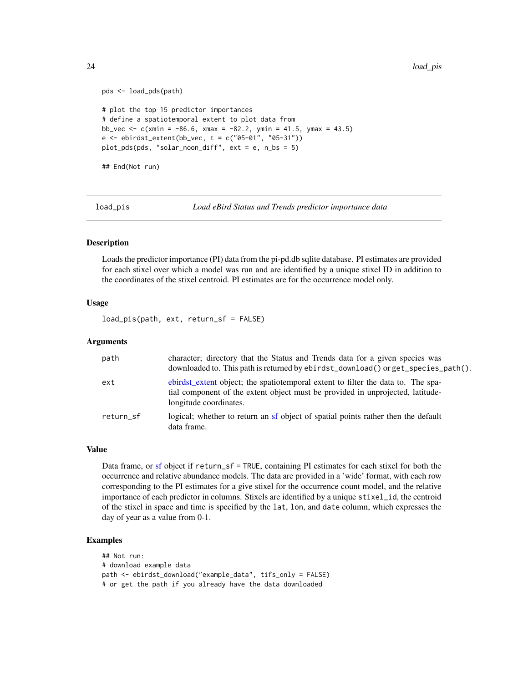```
pds <- load_pds(path)
# plot the top 15 predictor importances
# define a spatiotemporal extent to plot data from
bb_vec <- c(xmin = -86.6, xmax = -82.2, ymin = 41.5, ymax = 43.5)
e \le - \text{ebirdst\_extent}(bb\_vec, t = c("05-01", "05-31"))plot_pds(pds, "solar_noon_diff", ext = e, n_bs = 5)
## End(Not run)
```
<span id="page-23-1"></span>

load\_pis *Load eBird Status and Trends predictor importance data*

#### Description

Loads the predictor importance (PI) data from the pi-pd.db sqlite database. PI estimates are provided for each stixel over which a model was run and are identified by a unique stixel ID in addition to the coordinates of the stixel centroid. PI estimates are for the occurrence model only.

### Usage

load\_pis(path, ext, return\_sf = FALSE)

# Arguments

| path      | character; directory that the Status and Trends data for a given species was<br>downloaded to. This path is returned by ebirdst_download() or get_species_path().                            |
|-----------|----------------------------------------------------------------------------------------------------------------------------------------------------------------------------------------------|
| ext       | ebirdst_extent object; the spatiotemporal extent to filter the data to. The spa-<br>tial component of the extent object must be provided in unprojected, latitude-<br>longitude coordinates. |
| return_sf | logical; whether to return an sf object of spatial points rather then the default<br>data frame.                                                                                             |

#### Value

Data frame, or [sf](#page-0-0) object if return\_sf = TRUE, containing PI estimates for each stixel for both the occurrence and relative abundance models. The data are provided in a 'wide' format, with each row corresponding to the PI estimates for a give stixel for the occurrence count model, and the relative importance of each predictor in columns. Stixels are identified by a unique stixel\_id, the centroid of the stixel in space and time is specified by the lat, lon, and date column, which expresses the day of year as a value from 0-1.

```
## Not run:
# download example data
path <- ebirdst_download("example_data", tifs_only = FALSE)
# or get the path if you already have the data downloaded
```
<span id="page-23-0"></span>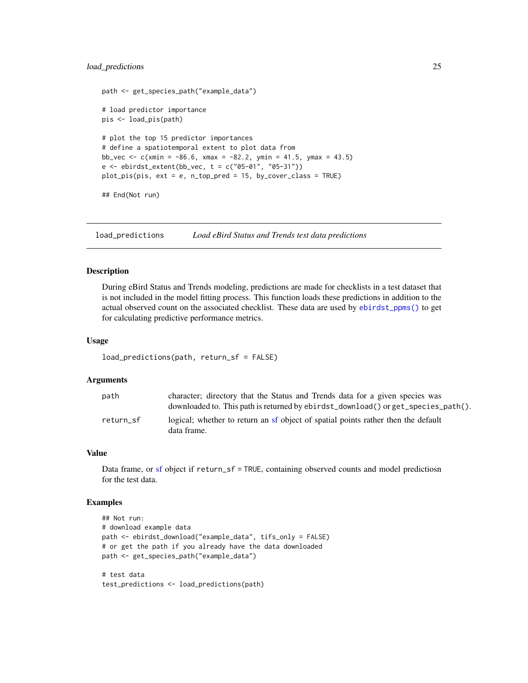# <span id="page-24-0"></span>load\_predictions 25

```
path <- get_species_path("example_data")
# load predictor importance
pis <- load_pis(path)
# plot the top 15 predictor importances
# define a spatiotemporal extent to plot data from
bb_vec <- c(xmin = -86.6, xmax = -82.2, ymin = 41.5, ymax = 43.5)
e \le - \text{ebirdst\_extent}(bb\_vec, t = c("05-01", "05-31"))plot_pis(pis, ext = e, n_top_pred = 15, by_cover_class = TRUE)
## End(Not run)
```
load\_predictions *Load eBird Status and Trends test data predictions*

#### Description

During eBird Status and Trends modeling, predictions are made for checklists in a test dataset that is not included in the model fitting process. This function loads these predictions in addition to the actual observed count on the associated checklist. These data are used by [ebirdst\\_ppms\(\)](#page-11-1) to get for calculating predictive performance metrics.

# Usage

```
load_predictions(path, return_sf = FALSE)
```
#### Arguments

| path      | character; directory that the Status and Trends data for a given species was                     |
|-----------|--------------------------------------------------------------------------------------------------|
|           | downloaded to. This path is returned by ebirdst_download() or get_species_path().                |
| return sf | logical; whether to return an sf object of spatial points rather then the default<br>data frame. |

#### Value

Data frame, or [sf](#page-0-0) object if return\_sf = TRUE, containing observed counts and model predictiosn for the test data.

```
## Not run:
# download example data
path <- ebirdst_download("example_data", tifs_only = FALSE)
# or get the path if you already have the data downloaded
path <- get_species_path("example_data")
# test data
test_predictions <- load_predictions(path)
```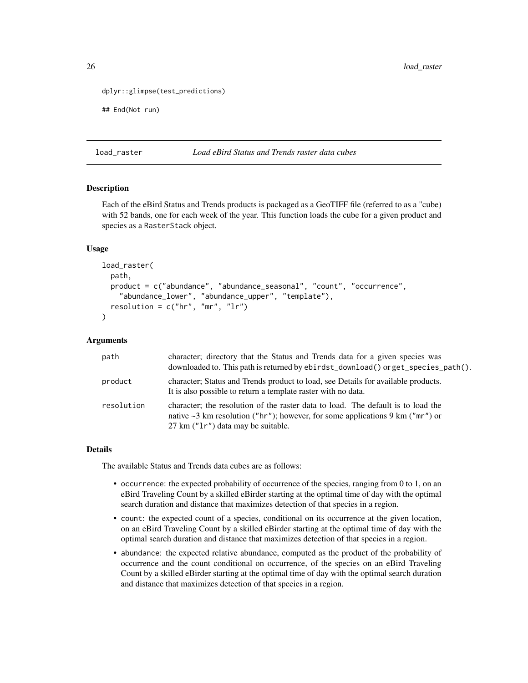```
dplyr::glimpse(test_predictions)
```
## End(Not run)

#### load\_raster *Load eBird Status and Trends raster data cubes*

# Description

Each of the eBird Status and Trends products is packaged as a GeoTIFF file (referred to as a "cube) with 52 bands, one for each week of the year. This function loads the cube for a given product and species as a RasterStack object.

### Usage

```
load_raster(
 path,
 product = c("abundance", "abundance_seasonal", "count", "occurrence",
    "abundance_lower", "abundance_upper", "template"),
  resolution = c("hr", "mr", "lr")
)
```
# Arguments

| path       | character; directory that the Status and Trends data for a given species was<br>downloaded to. This path is returned by ebirdst_download() or get_species_path().                                             |
|------------|---------------------------------------------------------------------------------------------------------------------------------------------------------------------------------------------------------------|
| product    | character; Status and Trends product to load, see Details for available products.<br>It is also possible to return a template raster with no data.                                                            |
| resolution | character; the resolution of the raster data to load. The default is to load the<br>native $\sim$ 3 km resolution ("hr"); however, for some applications 9 km ("mr") or<br>27 km ("1r") data may be suitable. |

#### Details

The available Status and Trends data cubes are as follows:

- occurrence: the expected probability of occurrence of the species, ranging from 0 to 1, on an eBird Traveling Count by a skilled eBirder starting at the optimal time of day with the optimal search duration and distance that maximizes detection of that species in a region.
- count: the expected count of a species, conditional on its occurrence at the given location, on an eBird Traveling Count by a skilled eBirder starting at the optimal time of day with the optimal search duration and distance that maximizes detection of that species in a region.
- abundance: the expected relative abundance, computed as the product of the probability of occurrence and the count conditional on occurrence, of the species on an eBird Traveling Count by a skilled eBirder starting at the optimal time of day with the optimal search duration and distance that maximizes detection of that species in a region.

<span id="page-25-0"></span>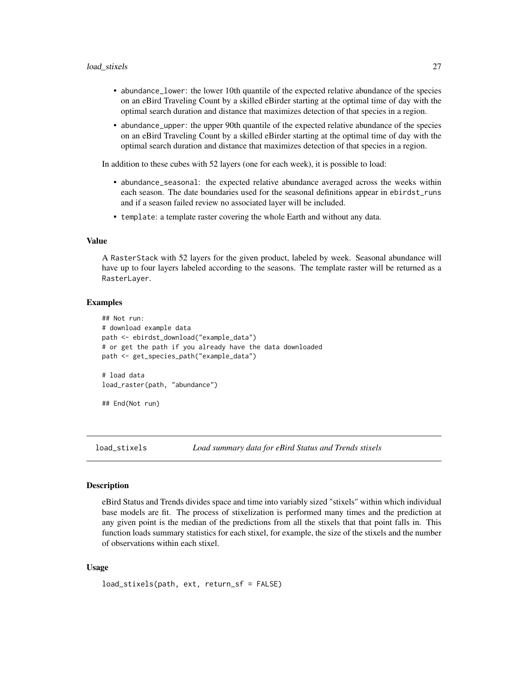- <span id="page-26-0"></span>• abundance\_lower: the lower 10th quantile of the expected relative abundance of the species on an eBird Traveling Count by a skilled eBirder starting at the optimal time of day with the optimal search duration and distance that maximizes detection of that species in a region.
- abundance\_upper: the upper 90th quantile of the expected relative abundance of the species on an eBird Traveling Count by a skilled eBirder starting at the optimal time of day with the optimal search duration and distance that maximizes detection of that species in a region.

In addition to these cubes with 52 layers (one for each week), it is possible to load:

- abundance\_seasonal: the expected relative abundance averaged across the weeks within each season. The date boundaries used for the seasonal definitions appear in ebirdst\_runs and if a season failed review no associated layer will be included.
- template: a template raster covering the whole Earth and without any data.

#### Value

A RasterStack with 52 layers for the given product, labeled by week. Seasonal abundance will have up to four layers labeled according to the seasons. The template raster will be returned as a RasterLayer.

#### Examples

```
## Not run:
# download example data
path <- ebirdst_download("example_data")
# or get the path if you already have the data downloaded
path <- get_species_path("example_data")
# load data
load_raster(path, "abundance")
## End(Not run)
```
<span id="page-26-1"></span>load\_stixels *Load summary data for eBird Status and Trends stixels*

#### **Description**

eBird Status and Trends divides space and time into variably sized "stixels" within which individual base models are fit. The process of stixelization is performed many times and the prediction at any given point is the median of the predictions from all the stixels that that point falls in. This function loads summary statistics for each stixel, for example, the size of the stixels and the number of observations within each stixel.

#### Usage

```
load_stixels(path, ext, return_sf = FALSE)
```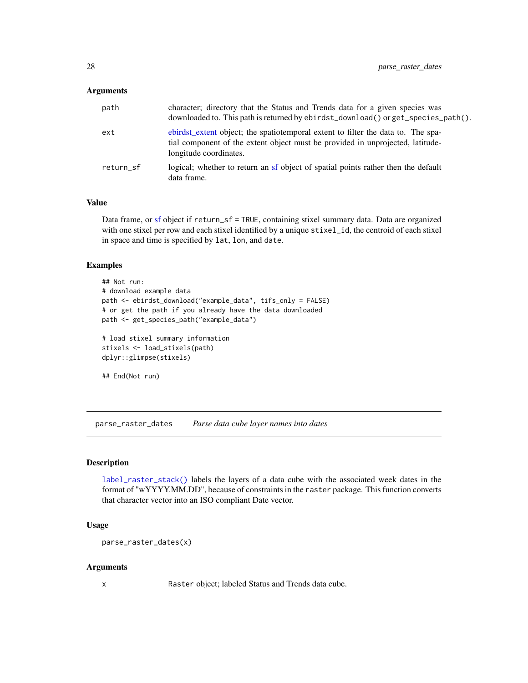#### <span id="page-27-0"></span>**Arguments**

| path      | character; directory that the Status and Trends data for a given species was<br>downloaded to. This path is returned by ebirdst_download() or get_species_path().                            |
|-----------|----------------------------------------------------------------------------------------------------------------------------------------------------------------------------------------------|
| ext       | ebirdst_extent object; the spatiotemporal extent to filter the data to. The spa-<br>tial component of the extent object must be provided in unprojected, latitude-<br>longitude coordinates. |
| return sf | logical; whether to return an sf object of spatial points rather then the default<br>data frame.                                                                                             |

#### Value

Data frame, or [sf](#page-0-0) object if return\_sf = TRUE, containing stixel summary data. Data are organized with one stixel per row and each stixel identified by a unique stixel\_id, the centroid of each stixel in space and time is specified by lat, lon, and date.

# Examples

```
## Not run:
# download example data
path <- ebirdst_download("example_data", tifs_only = FALSE)
# or get the path if you already have the data downloaded
path <- get_species_path("example_data")
# load stixel summary information
stixels <- load_stixels(path)
dplyr::glimpse(stixels)
```

```
## End(Not run)
```
parse\_raster\_dates *Parse data cube layer names into dates*

#### Description

[label\\_raster\\_stack\(\)](#page-19-1) labels the layers of a data cube with the associated week dates in the format of "wYYYY.MM.DD", because of constraints in the raster package. This function converts that character vector into an ISO compliant Date vector.

#### Usage

```
parse_raster_dates(x)
```
#### Arguments

x Raster object; labeled Status and Trends data cube.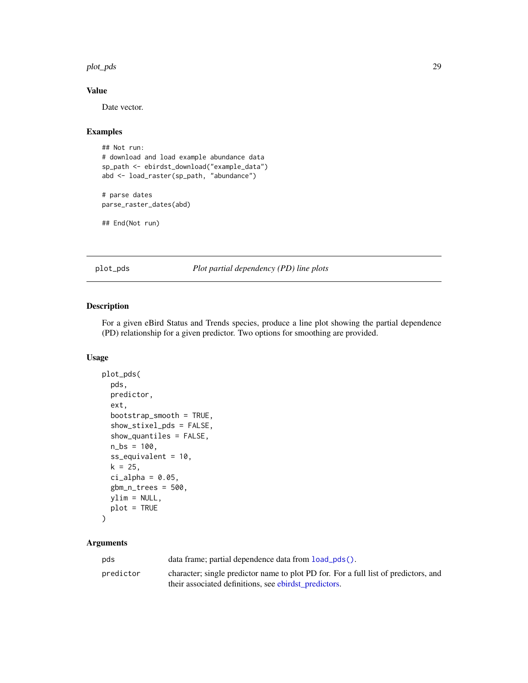#### <span id="page-28-0"></span>plot\_pds 29

# Value

Date vector.

#### Examples

```
## Not run:
# download and load example abundance data
sp_path <- ebirdst_download("example_data")
abd <- load_raster(sp_path, "abundance")
```

```
# parse dates
parse_raster_dates(abd)
```
## End(Not run)

plot\_pds *Plot partial dependency (PD) line plots*

# Description

For a given eBird Status and Trends species, produce a line plot showing the partial dependence (PD) relationship for a given predictor. Two options for smoothing are provided.

#### Usage

```
plot_pds(
  pds,
  predictor,
  ext,
  bootstrap_smooth = TRUE,
  show_stixel_pds = FALSE,
  show_quantiles = FALSE,
  n_{bs} = 100,
  ss_equivalent = 10,
  k = 25,
  ci<sup>2</sup>lpha = 0.05,
  gbm_n_trees = 500,
  ylim = NULL,
  plot = TRUE
)
```
# Arguments

| pds       | data frame; partial dependence data from $load_pds()$ .                             |
|-----------|-------------------------------------------------------------------------------------|
| predictor | character; single predictor name to plot PD for. For a full list of predictors, and |
|           | their associated definitions, see ebirdst_predictors.                               |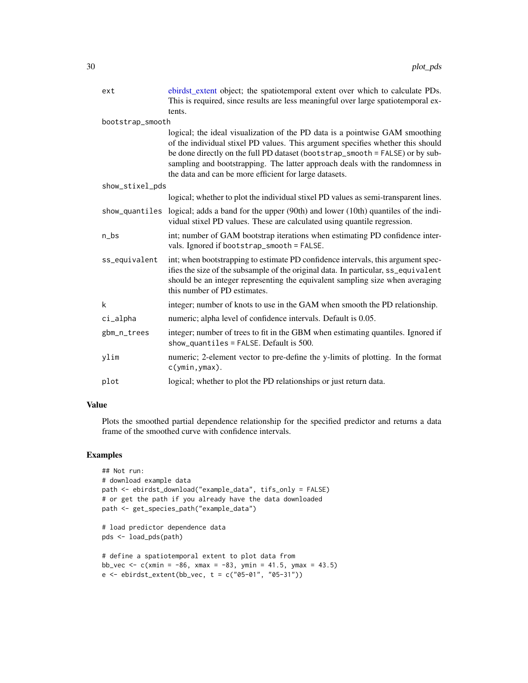<span id="page-29-0"></span>

| ext              | ebirdst_extent object; the spatiotemporal extent over which to calculate PDs.<br>This is required, since results are less meaningful over large spatiotemporal ex-                                                                                                                                                                                                                         |
|------------------|--------------------------------------------------------------------------------------------------------------------------------------------------------------------------------------------------------------------------------------------------------------------------------------------------------------------------------------------------------------------------------------------|
| bootstrap_smooth | tents.                                                                                                                                                                                                                                                                                                                                                                                     |
|                  | logical; the ideal visualization of the PD data is a pointwise GAM smoothing<br>of the individual stixel PD values. This argument specifies whether this should<br>be done directly on the full PD dataset (bootstrap_smooth = FALSE) or by sub-<br>sampling and bootstrapping. The latter approach deals with the randomness in<br>the data and can be more efficient for large datasets. |
| show_stixel_pds  |                                                                                                                                                                                                                                                                                                                                                                                            |
|                  | logical; whether to plot the individual stixel PD values as semi-transparent lines.                                                                                                                                                                                                                                                                                                        |
|                  | show_quantiles logical; adds a band for the upper (90th) and lower (10th) quantiles of the indi-<br>vidual stixel PD values. These are calculated using quantile regression.                                                                                                                                                                                                               |
| $n_{bs}$         | int; number of GAM bootstrap iterations when estimating PD confidence inter-<br>vals. Ignored if bootstrap_smooth = FALSE.                                                                                                                                                                                                                                                                 |
| ss_equivalent    | int; when bootstrapping to estimate PD confidence intervals, this argument spec-<br>ifies the size of the subsample of the original data. In particular, ss_equivalent<br>should be an integer representing the equivalent sampling size when averaging<br>this number of PD estimates.                                                                                                    |
| k                | integer; number of knots to use in the GAM when smooth the PD relationship.                                                                                                                                                                                                                                                                                                                |
| ci_alpha         | numeric; alpha level of confidence intervals. Default is 0.05.                                                                                                                                                                                                                                                                                                                             |
| gbm_n_trees      | integer; number of trees to fit in the GBM when estimating quantiles. Ignored if<br>show_quantiles = $FALSE.$ Default is 500.                                                                                                                                                                                                                                                              |
| ylim             | numeric; 2-element vector to pre-define the y-limits of plotting. In the format<br>$c(\text{ymin}, \text{ymax})$ .                                                                                                                                                                                                                                                                         |
| plot             | logical; whether to plot the PD relationships or just return data.                                                                                                                                                                                                                                                                                                                         |

# Value

Plots the smoothed partial dependence relationship for the specified predictor and returns a data frame of the smoothed curve with confidence intervals.

```
## Not run:
# download example data
path <- ebirdst_download("example_data", tifs_only = FALSE)
# or get the path if you already have the data downloaded
path <- get_species_path("example_data")
# load predictor dependence data
pds <- load_pds(path)
# define a spatiotemporal extent to plot data from
bb_vec <- c(xmin = -86, xmax = -83, ymin = 41.5, ymax = 43.5)
e \le - \text{ebirdst\_extent}(bb\_vec, t = c("05-01", "05-31"))
```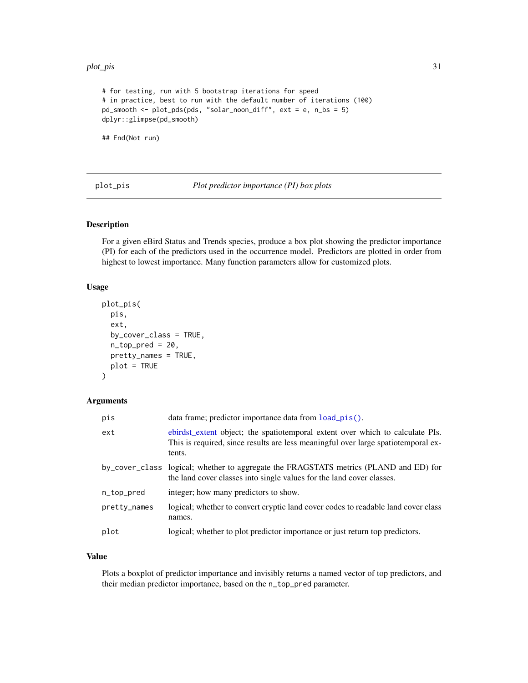#### <span id="page-30-0"></span>plot\_pis 31

```
# for testing, run with 5 bootstrap iterations for speed
# in practice, best to run with the default number of iterations (100)
pd_smooth <- plot_pds(pds, "solar_noon_diff", ext = e, n_bs = 5)
dplyr::glimpse(pd_smooth)
```
## End(Not run)

plot\_pis *Plot predictor importance (PI) box plots*

# Description

For a given eBird Status and Trends species, produce a box plot showing the predictor importance (PI) for each of the predictors used in the occurrence model. Predictors are plotted in order from highest to lowest importance. Many function parameters allow for customized plots.

#### Usage

```
plot_pis(
 pis,
  ext,
 by_cover_class = TRUE,
  n\_top\_pred = 20,
 pretty_names = TRUE,
 plot = TRUE
)
```
#### Arguments

| pis          | data frame; predictor importance data from load_pis().                                                                                                                       |
|--------------|------------------------------------------------------------------------------------------------------------------------------------------------------------------------------|
| ext          | ebirdst_extent object; the spatiotemporal extent over which to calculate PIs.<br>This is required, since results are less meaningful over large spatiotemporal ex-<br>tents. |
|              | by_cover_class logical; whether to aggregate the FRAGSTATS metrics (PLAND and ED) for<br>the land cover classes into single values for the land cover classes.               |
| n_top_pred   | integer; how many predictors to show.                                                                                                                                        |
| pretty_names | logical; whether to convert cryptic land cover codes to readable land cover class<br>names.                                                                                  |
| plot         | logical; whether to plot predictor importance or just return top predictors.                                                                                                 |

# Value

Plots a boxplot of predictor importance and invisibly returns a named vector of top predictors, and their median predictor importance, based on the n\_top\_pred parameter.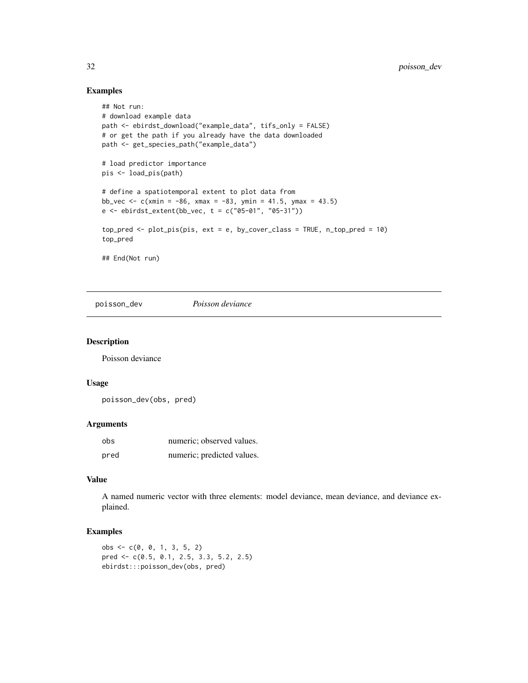# Examples

```
## Not run:
# download example data
path <- ebirdst_download("example_data", tifs_only = FALSE)
# or get the path if you already have the data downloaded
path <- get_species_path("example_data")
# load predictor importance
pis <- load_pis(path)
# define a spatiotemporal extent to plot data from
bb_vec <- c(xmin = -86, xmax = -83, ymin = 41.5, ymax = 43.5)
e \le - \text{ebirdst\_extent}(bb\_vec, t = c("05-01", "05-31"))top_pred <- plot_pis(pis, ext = e, by_cover_class = TRUE, n_top_pred = 10)
top_pred
## End(Not run)
```
poisson\_dev *Poisson deviance*

# Description

Poisson deviance

### Usage

poisson\_dev(obs, pred)

# Arguments

| obs  | numeric; observed values.  |
|------|----------------------------|
| pred | numeric; predicted values. |

# Value

A named numeric vector with three elements: model deviance, mean deviance, and deviance explained.

```
obs <- c(0, 0, 1, 3, 5, 2)
pred <- c(0.5, 0.1, 2.5, 3.3, 5.2, 2.5)
ebirdst:::poisson_dev(obs, pred)
```
<span id="page-31-0"></span>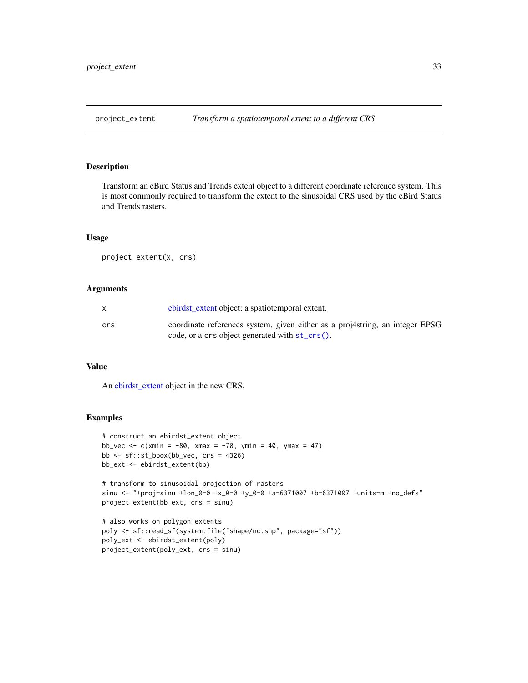<span id="page-32-0"></span>

# Description

Transform an eBird Status and Trends extent object to a different coordinate reference system. This is most commonly required to transform the extent to the sinusoidal CRS used by the eBird Status and Trends rasters.

# Usage

project\_extent(x, crs)

# Arguments

|     | ebirdst_extent object; a spatiotemporal extent.                                                                               |
|-----|-------------------------------------------------------------------------------------------------------------------------------|
| crs | coordinate references system, given either as a projatring, an integer EPSG<br>code, or a crs object generated with st_crs(). |

# Value

An [ebirdst\\_extent](#page-7-1) object in the new CRS.

```
# construct an ebirdst_extent object
bb_vec <- c(xmin = -80, xmax = -70, ymin = 40, ymax = 47)
bb <- sf::st_bbox(bb_vec, crs = 4326)
bb_ext <- ebirdst_extent(bb)
```

```
# transform to sinusoidal projection of rasters
sinu <- "+proj=sinu +lon_0=0 +x_0=0 +y_0=0 +a=6371007 +b=6371007 +units=m +no_defs"
project_extent(bb_ext, crs = sinu)
```

```
# also works on polygon extents
poly <- sf::read_sf(system.file("shape/nc.shp", package="sf"))
poly_ext <- ebirdst_extent(poly)
project_extent(poly_ext, crs = sinu)
```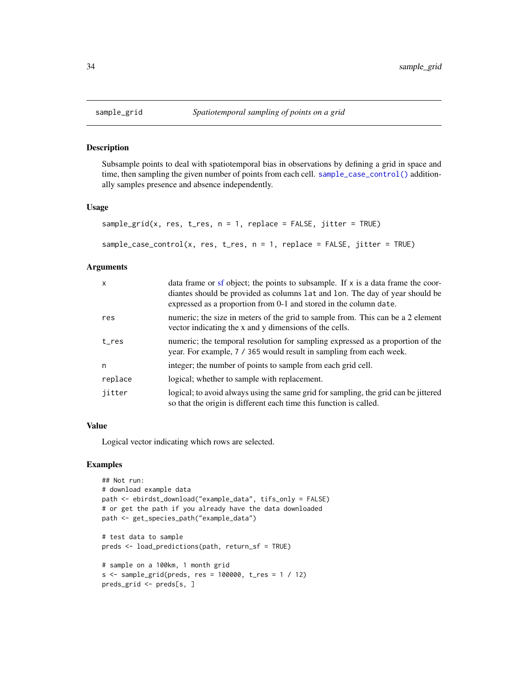#### <span id="page-33-1"></span>Description

Subsample points to deal with spatiotemporal bias in observations by defining a grid in space and time, then sampling the given number of points from each cell. [sample\\_case\\_control\(\)](#page-33-1) additionally samples presence and absence independently.

#### Usage

```
sample_grid(x, res, t_res, n = 1, replace = FALSE, jitter = TRUE)
```

```
sample_case_control(x, res, t_res, n = 1, replace = FALSE, jitter = TRUE)
```
# Arguments

| $\mathsf{x}$ | data frame or sf object; the points to subsample. If $x$ is a data frame the coor-<br>diantes should be provided as columns 1 at and 1 on. The day of year should be<br>expressed as a proportion from 0-1 and stored in the column date. |
|--------------|-------------------------------------------------------------------------------------------------------------------------------------------------------------------------------------------------------------------------------------------|
| res          | numeric; the size in meters of the grid to sample from. This can be a 2 element<br>vector indicating the x and y dimensions of the cells.                                                                                                 |
| t res        | numeric; the temporal resolution for sampling expressed as a proportion of the<br>year. For example, 7 / 365 would result in sampling from each week.                                                                                     |
| n            | integer; the number of points to sample from each grid cell.                                                                                                                                                                              |
| replace      | logical; whether to sample with replacement.                                                                                                                                                                                              |
| jitter       | logical; to avoid always using the same grid for sampling, the grid can be jittered<br>so that the origin is different each time this function is called.                                                                                 |

### Value

Logical vector indicating which rows are selected.

```
## Not run:
# download example data
path <- ebirdst_download("example_data", tifs_only = FALSE)
# or get the path if you already have the data downloaded
path <- get_species_path("example_data")
# test data to sample
preds <- load_predictions(path, return_sf = TRUE)
# sample on a 100km, 1 month grid
s \leq sample_grid(preds, res = 100000, t_res = 1 / 12)
preds_grid <- preds[s, ]
```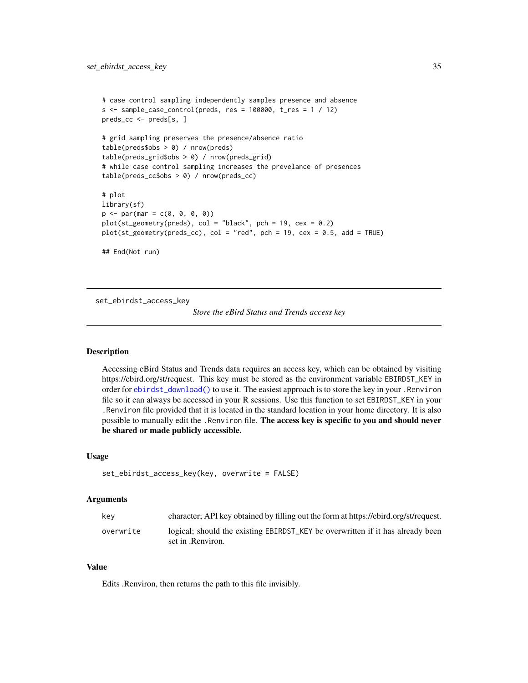```
# case control sampling independently samples presence and absence
s <- sample_case_control(preds, res = 100000, t_res = 1 / 12)
preds_cc <- preds[s, ]
# grid sampling preserves the presence/absence ratio
table(preds$obs > 0) / nrow(preds)
table(preds_grid$obs > 0) / nrow(preds_grid)
# while case control sampling increases the prevelance of presences
table(preds_cc$obs > 0) / nrow(preds_cc)
# plot
library(sf)
p \leq -px(max = c(0, 0, 0, 0))plot(st_geometry(preds), col = "black", pch = 19, cex = 0.2)
plot(st\_geometry(preds_cc), col = "red", pch = 19, cex = 0.5, add = TRUE)## End(Not run)
```
<span id="page-34-1"></span>set\_ebirdst\_access\_key

*Store the eBird Status and Trends access key*

# **Description**

Accessing eBird Status and Trends data requires an access key, which can be obtained by visiting https://ebird.org/st/request. This key must be stored as the environment variable EBIRDST\_KEY in order for [ebirdst\\_download\(\)](#page-6-1) to use it. The easiest approach is to store the key in your .Renviron file so it can always be accessed in your R sessions. Use this function to set EBIRDST\_KEY in your .Renviron file provided that it is located in the standard location in your home directory. It is also possible to manually edit the .Renviron file. The access key is specific to you and should never be shared or made publicly accessible.

#### Usage

```
set_ebirdst_access_key(key, overwrite = FALSE)
```
#### Arguments

| kev       | character; API key obtained by filling out the form at https://ebird.org/st/request.                |
|-----------|-----------------------------------------------------------------------------------------------------|
| overwrite | logical; should the existing EBIRDST_KEY be overwritten if it has already been<br>set in .Renviron. |

#### Value

Edits .Renviron, then returns the path to this file invisibly.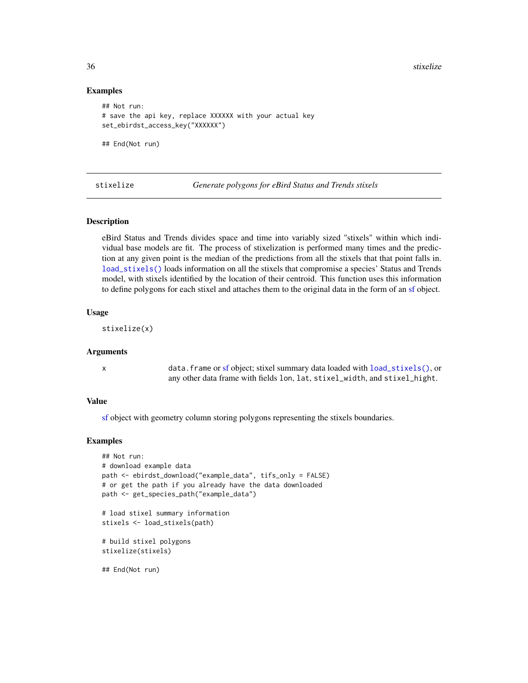36 stixelize

#### Examples

```
## Not run:
# save the api key, replace XXXXXX with your actual key
set_ebirdst_access_key("XXXXXX")
```
## End(Not run)

stixelize *Generate polygons for eBird Status and Trends stixels*

### **Description**

eBird Status and Trends divides space and time into variably sized "stixels" within which individual base models are fit. The process of stixelization is performed many times and the prediction at any given point is the median of the predictions from all the stixels that that point falls in. [load\\_stixels\(\)](#page-26-1) loads information on all the stixels that compromise a species' Status and Trends model, with stixels identified by the location of their centroid. This function uses this information to define polygons for each stixel and attaches them to the original data in the form of an [sf](#page-0-0) object.

#### Usage

stixelize(x)

# Arguments

x data.frame or [sf](#page-0-0) object; stixel summary data loaded with [load\\_stixels\(\)](#page-26-1), or any other data frame with fields lon, lat, stixel\_width, and stixel\_hight.

#### Value

[sf](#page-0-0) object with geometry column storing polygons representing the stixels boundaries.

```
## Not run:
# download example data
path <- ebirdst_download("example_data", tifs_only = FALSE)
# or get the path if you already have the data downloaded
path <- get_species_path("example_data")
# load stixel summary information
stixels <- load_stixels(path)
# build stixel polygons
stixelize(stixels)
## End(Not run)
```
<span id="page-35-0"></span>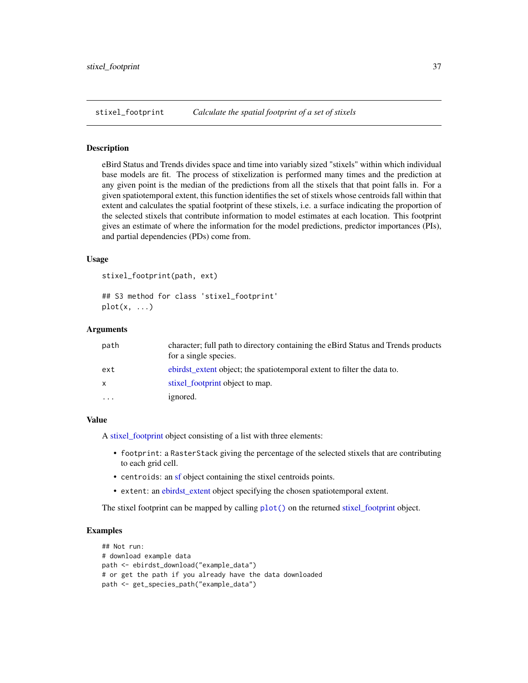<span id="page-36-1"></span><span id="page-36-0"></span>

#### Description

eBird Status and Trends divides space and time into variably sized "stixels" within which individual base models are fit. The process of stixelization is performed many times and the prediction at any given point is the median of the predictions from all the stixels that that point falls in. For a given spatiotemporal extent, this function identifies the set of stixels whose centroids fall within that extent and calculates the spatial footprint of these stixels, i.e. a surface indicating the proportion of the selected stixels that contribute information to model estimates at each location. This footprint gives an estimate of where the information for the model predictions, predictor importances (PIs), and partial dependencies (PDs) come from.

#### Usage

```
stixel_footprint(path, ext)
```
## S3 method for class 'stixel\_footprint'  $plot(x, \ldots)$ 

#### Arguments

| path     | character; full path to directory containing the eBird Status and Trends products<br>for a single species. |
|----------|------------------------------------------------------------------------------------------------------------|
| ext      | ebirdst extent object; the spatioley extent to filter the data to.                                         |
| x        | stixel footprint object to map.                                                                            |
| $\cdots$ | ignored.                                                                                                   |

#### Value

A [stixel\\_footprint](#page-36-1) object consisting of a list with three elements:

- footprint: a RasterStack giving the percentage of the selected stixels that are contributing to each grid cell.
- centroids: an [sf](#page-0-0) object containing the stixel centroids points.
- extent: an [ebirdst\\_extent](#page-7-1) object specifying the chosen spatiotemporal extent.

The stixel footprint can be mapped by calling [plot\(\)](#page-0-0) on the returned [stixel\\_footprint](#page-36-1) object.

```
## Not run:
# download example data
path <- ebirdst_download("example_data")
# or get the path if you already have the data downloaded
path <- get_species_path("example_data")
```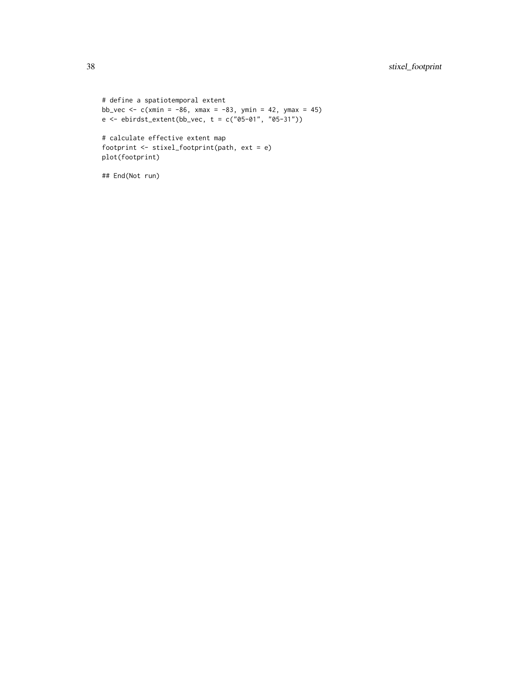```
# define a spatiotemporal extent
bb_vec <- c(xmin = -86, xmax = -83, ymin = 42, ymax = 45)
e \le - \text{ebirdst\_extent}(bb\_vec, t = c("05-01", "05-31"))# calculate effective extent map
footprint <- stixel_footprint(path, ext = e)
plot(footprint)
```
## End(Not run)